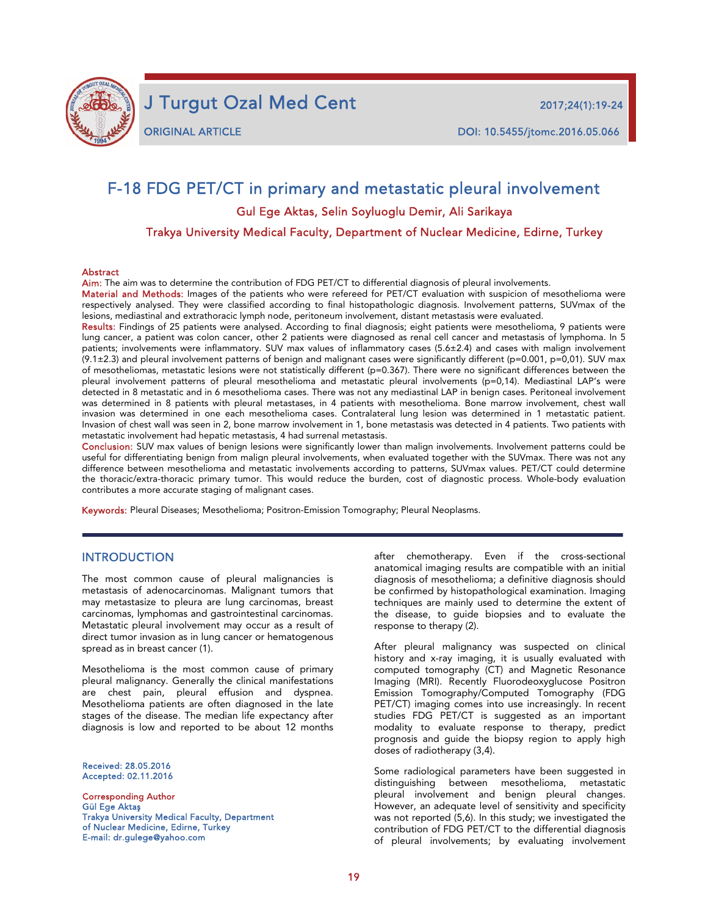

j

J Turgut Ozal Med Cent 2017;24(1):19-24

# F-18 FDG PET/CT in primary and metastatic pleural involvement Gul Ege Aktas, Selin Soyluoglu Demir, Ali Sarikaya Trakya University Medical Faculty, Department of Nuclear Medicine, Edirne, Turkey

#### **Abstract**

Aim: The aim was to determine the contribution of FDG PET/CT to differential diagnosis of pleural involvements.

Material and Methods: Images of the patients who were refereed for PET/CT evaluation with suspicion of mesothelioma were respectively analysed. They were classified according to final histopathologic diagnosis. Involvement patterns, SUVmax of the lesions, mediastinal and extrathoracic lymph node, peritoneum involvement, distant metastasis were evaluated.

Results: Findings of 25 patients were analysed. According to final diagnosis; eight patients were mesothelioma, 9 patients were lung cancer, a patient was colon cancer, other 2 patients were diagnosed as renal cell cancer and metastasis of lymphoma. In 5 patients; involvements were inflammatory. SUV max values of inflammatory cases (5.6±2.4) and cases with malign involvement  $(9.1\pm2.3)$  and pleural involvement patterns of benign and malignant cases were significantly different (p=0.001, p=0,01). SUV max of mesotheliomas, metastatic lesions were not statistically different (p=0.367). There were no significant differences between the pleural involvement patterns of pleural mesothelioma and metastatic pleural involvements (p=0,14). Mediastinal LAP's were detected in 8 metastatic and in 6 mesothelioma cases. There was not any mediastinal LAP in benign cases. Peritoneal involvement was determined in 8 patients with pleural metastases, in 4 patients with mesothelioma. Bone marrow involvement, chest wall invasion was determined in one each mesothelioma cases. Contralateral lung lesion was determined in 1 metastatic patient. Invasion of chest wall was seen in 2, bone marrow involvement in 1, bone metastasis was detected in 4 patients. Two patients with metastatic involvement had hepatic metastasis, 4 had surrenal metastasis.

Conclusion: SUV max values of benign lesions were significantly lower than malign involvements. Involvement patterns could be useful for differentiating benign from malign pleural involvements, when evaluated together with the SUVmax. There was not any difference between mesothelioma and metastatic involvements according to patterns, SUVmax values. PET/CT could determine the thoracic/extra-thoracic primary tumor. This would reduce the burden, cost of diagnostic process. Whole-body evaluation contributes a more accurate staging of malignant cases.

Keywords: Pleural Diseases; Mesothelioma; Positron-Emission Tomography; Pleural Neoplasms.

#### **INTRODUCTION**

The most common cause of pleural malignancies is metastasis of adenocarcinomas. Malignant tumors that may metastasize to pleura are lung carcinomas, breast carcinomas, lymphomas and gastrointestinal carcinomas. Metastatic pleural involvement may occur as a result of direct tumor invasion as in lung cancer or hematogenous spread as in breast cancer (1).

Mesothelioma is the most common cause of primary pleural malignancy. Generally the clinical manifestations are chest pain, pleural effusion and dyspnea. Mesothelioma patients are often diagnosed in the late stages of the disease. The median life expectancy after diagnosis is low and reported to be about 12 months

Received: 28.05.2016 Accepted: 02.11.2016

Corresponding Author Gül Ege Aktaş Trakya University Medical Faculty, Department of Nuclear Medicine, Edirne, Turkey E-mail: dr.gulege@yahoo.com

after chemotherapy. Even if the cross-sectional anatomical imaging results are compatible with an initial diagnosis of mesothelioma; a definitive diagnosis should be confirmed by histopathological examination. Imaging techniques are mainly used to determine the extent of the disease, to guide biopsies and to evaluate the response to therapy (2).

After pleural malignancy was suspected on clinical history and x-ray imaging, it is usually evaluated with computed tomography (CT) and Magnetic Resonance Imaging (MRI). Recently Fluorodeoxyglucose Positron Emission Tomography/Computed Tomography (FDG PET/CT) imaging comes into use increasingly. In recent studies FDG PET/CT is suggested as an important modality to evaluate response to therapy, predict prognosis and guide the biopsy region to apply high doses of radiotherapy (3,4).

Some radiological parameters have been suggested in distinguishing between mesothelioma, metastatic pleural involvement and benign pleural changes. However, an adequate level of sensitivity and specificity was not reported (5,6). In this study; we investigated the contribution of FDG PET/CT to the differential diagnosis of pleural involvements; by evaluating involvement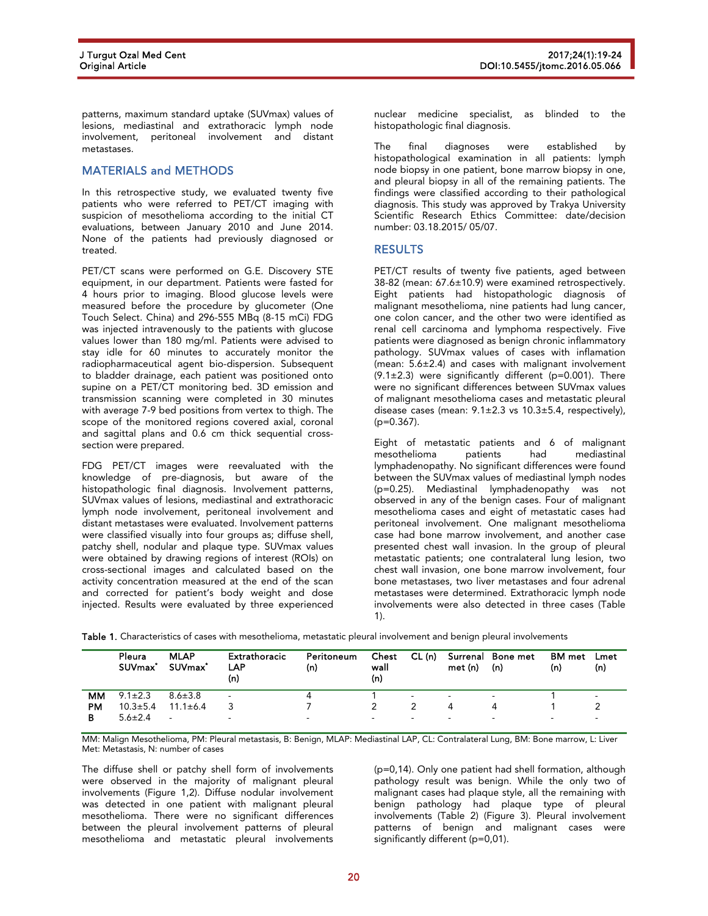patterns, maximum standard uptake (SUVmax) values of lesions, mediastinal and extrathoracic lymph node involvement, peritoneal involvement and distant metastases.

### MATERIALS and METHODS

In this retrospective study, we evaluated twenty five patients who were referred to PET/CT imaging with suspicion of mesothelioma according to the initial CT evaluations, between January 2010 and June 2014. None of the patients had previously diagnosed or treated.

PET/CT scans were performed on G.E. Discovery STE equipment, in our department. Patients were fasted for 4 hours prior to imaging. Blood glucose levels were measured before the procedure by glucometer (One Touch Select. China) and 296-555 MBq (8-15 mCi) FDG was injected intravenously to the patients with glucose values lower than 180 mg/ml. Patients were advised to stay idle for 60 minutes to accurately monitor the radiopharmaceutical agent bio-dispersion. Subsequent to bladder drainage, each patient was positioned onto supine on a PET/CT monitoring bed. 3D emission and transmission scanning were completed in 30 minutes with average 7-9 bed positions from vertex to thigh. The scope of the monitored regions covered axial, coronal and sagittal plans and 0.6 cm thick sequential crosssection were prepared.

FDG PET/CT images were reevaluated with the knowledge of pre-diagnosis, but aware of the histopathologic final diagnosis. Involvement patterns, SUVmax values of lesions, mediastinal and extrathoracic lymph node involvement, peritoneal involvement and distant metastases were evaluated. Involvement patterns were classified visually into four groups as; diffuse shell, patchy shell, nodular and plaque type. SUVmax values were obtained by drawing regions of interest (ROIs) on cross-sectional images and calculated based on the activity concentration measured at the end of the scan and corrected for patient's body weight and dose injected. Results were evaluated by three experienced

nuclear medicine specialist, as blinded to the histopathologic final diagnosis.

The final diagnoses were established by histopathological examination in all patients: lymph node biopsy in one patient, bone marrow biopsy in one, and pleural biopsy in all of the remaining patients. The findings were classified according to their pathological diagnosis. This study was approved by Trakya University Scientific Research Ethics Committee: date/decision number: 03.18.2015/ 05/07.

#### RESULTS

PET/CT results of twenty five patients, aged between 38-82 (mean: 67.6±10.9) were examined retrospectively. Eight patients had histopathologic diagnosis of malignant mesothelioma, nine patients had lung cancer, one colon cancer, and the other two were identified as renal cell carcinoma and lymphoma respectively. Five patients were diagnosed as benign chronic inflammatory pathology. SUVmax values of cases with inflamation (mean:  $5.6\pm2.4$ ) and cases with malignant involvement  $(9.1\pm2.3)$  were significantly different (p=0.001). There were no significant differences between SUVmax values of malignant mesothelioma cases and metastatic pleural disease cases (mean: 9.1±2.3 vs 10.3±5.4, respectively), (p=0.367).

Eight of metastatic patients and 6 of malignant mesothelioma patients had mediastinal lymphadenopathy. No significant differences were found between the SUVmax values of mediastinal lymph nodes (p=0.25). Mediastinal lymphadenopathy was not observed in any of the benign cases. Four of malignant mesothelioma cases and eight of metastatic cases had peritoneal involvement. One malignant mesothelioma case had bone marrow involvement, and another case presented chest wall invasion. In the group of pleural metastatic patients; one contralateral lung lesion, two chest wall invasion, one bone marrow involvement, four bone metastases, two liver metastases and four adrenal metastases were determined. Extrathoracic lymph node involvements were also detected in three cases (Table 1).

|  |  |  |  |  |  |  | Table 1. Characteristics of cases with mesothelioma, metastatic pleural involvement and benign pleural involvements |
|--|--|--|--|--|--|--|---------------------------------------------------------------------------------------------------------------------|
|--|--|--|--|--|--|--|---------------------------------------------------------------------------------------------------------------------|

|           | Pleura<br>SUV <sub>max</sub> * | <b>MLAP</b><br><b>SUVmax*</b> | <b>Extrathoracic</b><br><b>LAP</b><br>(n) | Peritoneum<br>(n)        | Chest<br>wall<br>(n)     | CL (n)                   | met (n) | Surrenal Bone met<br>(n) | <b>BM</b> met<br>(n) | Lmet<br>(n)              |
|-----------|--------------------------------|-------------------------------|-------------------------------------------|--------------------------|--------------------------|--------------------------|---------|--------------------------|----------------------|--------------------------|
| мм        | $9.1 \pm 2.3$                  | $8.6 \pm 3.8$                 | ٠                                         |                          |                          | $\overline{\phantom{a}}$ |         | $\overline{\phantom{0}}$ |                      | $\overline{\phantom{a}}$ |
| <b>PM</b> | $10.3 \pm 5.4$                 | $11.1 \pm 6.4$                |                                           |                          |                          |                          | 4       |                          |                      |                          |
| В         | $5.6 \pm 2.4$                  | $\sim$                        | $\sim$                                    | $\overline{\phantom{a}}$ | $\overline{\phantom{0}}$ | $\overline{\phantom{0}}$ | $\sim$  | $\sim$                   | $\sim$               | $\sim$                   |

MM: Malign Mesothelioma, PM: Pleural metastasis, B: Benign, MLAP: Mediastinal LAP, CL: Contralateral Lung, BM: Bone marrow, L: Liver Met: Metastasis, N: number of cases

The diffuse shell or patchy shell form of involvements were observed in the majority of malignant pleural involvements (Figure 1,2). Diffuse nodular involvement was detected in one patient with malignant pleural mesothelioma. There were no significant differences between the pleural involvement patterns of pleural mesothelioma and metastatic pleural involvements

(p=0,14). Only one patient had shell formation, although pathology result was benign. While the only two of malignant cases had plaque style, all the remaining with benign pathology had plaque type of pleural involvements (Table 2) (Figure 3). Pleural involvement patterns of benign and malignant cases were significantly different (p=0,01).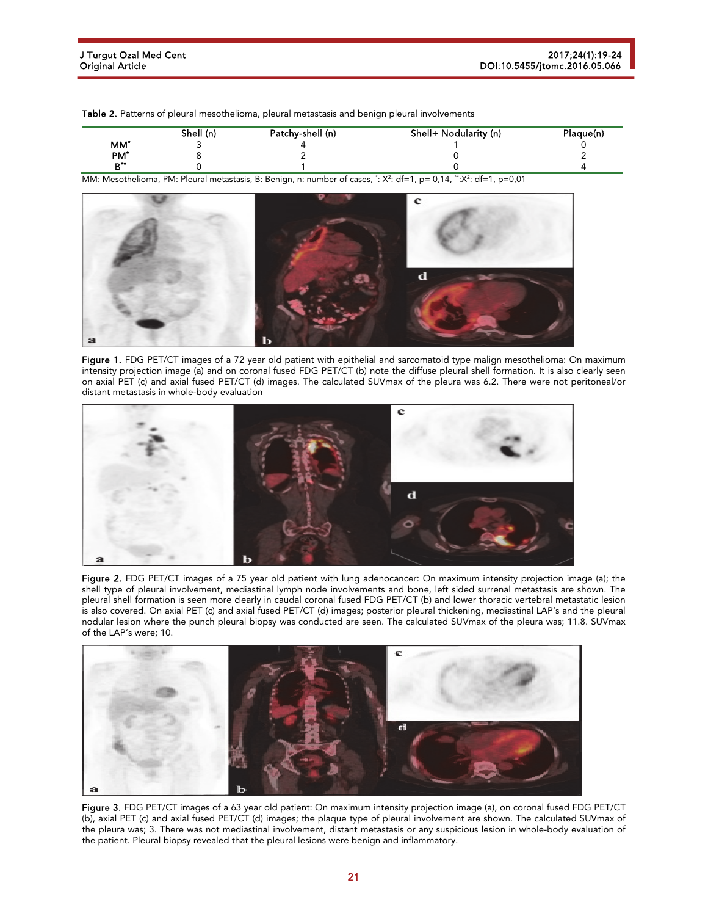Table 2. Patterns of pleural mesothelioma, pleural metastasis and benign pleural involvements

|                 | Shell (n) | Patchy-shell (n) | Shell+ Nodularity (n) | Plaguein |
|-----------------|-----------|------------------|-----------------------|----------|
| MM <sup>*</sup> |           |                  |                       |          |
| PM <sup>*</sup> |           |                  |                       |          |
| $-1$            |           |                  |                       |          |

MM: Mesothelioma, PM: Pleural metastasis, B: Benign, n: number of cases, \*: X<sup>2</sup>: df=1, p= 0,14, \*\*:X<sup>2</sup>: df=1, p=0,01



Figure 1. FDG PET/CT images of a 72 year old patient with epithelial and sarcomatoid type malign mesothelioma: On maximum intensity projection image (a) and on coronal fused FDG PET/CT (b) note the diffuse pleural shell formation. It is also clearly seen on axial PET (c) and axial fused PET/CT (d) images. The calculated SUVmax of the pleura was 6.2. There were not peritoneal/or distant metastasis in whole-body evaluation







Figure 3. FDG PET/CT images of a 63 year old patient: On maximum intensity projection image (a), on coronal fused FDG PET/CT (b), axial PET (c) and axial fused PET/CT (d) images; the plaque type of pleural involvement are shown. The calculated SUVmax of the pleura was; 3. There was not mediastinal involvement, distant metastasis or any suspicious lesion in whole-body evaluation of the patient. Pleural biopsy revealed that the pleural lesions were benign and inflammatory.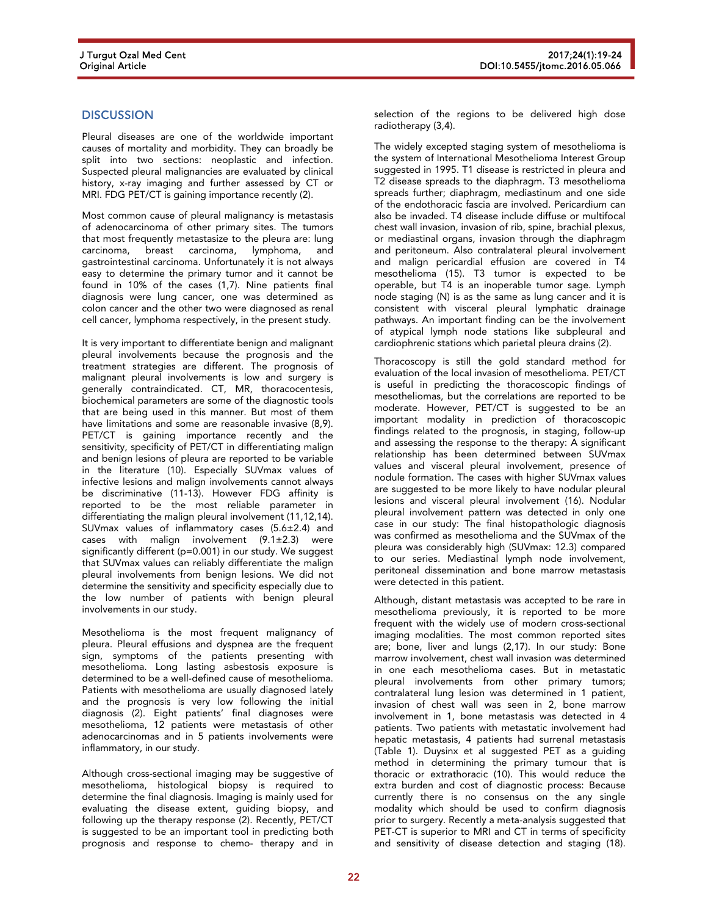## **DISCUSSION**

Pleural diseases are one of the worldwide important causes of mortality and morbidity. They can broadly be split into two sections: neoplastic and infection. Suspected pleural malignancies are evaluated by clinical history, x-ray imaging and further assessed by CT or MRI. FDG PET/CT is gaining importance recently (2).

Most common cause of pleural malignancy is metastasis of adenocarcinoma of other primary sites. The tumors that most frequently metastasize to the pleura are: lung<br>carcinoma, breast carcinoma, lymphoma, and carcinoma, breast carcinoma, lymphoma, gastrointestinal carcinoma. Unfortunately it is not always easy to determine the primary tumor and it cannot be found in 10% of the cases (1,7). Nine patients final diagnosis were lung cancer, one was determined as colon cancer and the other two were diagnosed as renal cell cancer, lymphoma respectively, in the present study.

It is very important to differentiate benign and malignant pleural involvements because the prognosis and the treatment strategies are different. The prognosis of malignant pleural involvements is low and surgery is generally contraindicated. CT, MR, thoracocentesis, biochemical parameters are some of the diagnostic tools that are being used in this manner. But most of them have limitations and some are reasonable invasive (8,9). PET/CT is gaining importance recently and the sensitivity, specificity of PET/CT in differentiating malign and benign lesions of pleura are reported to be variable in the literature (10). Especially SUVmax values of infective lesions and malign involvements cannot always be discriminative (11-13). However FDG affinity is reported to be the most reliable parameter in differentiating the malign pleural involvement (11,12,14). SUVmax values of inflammatory cases (5.6±2.4) and cases with malign involvement (9.1±2.3) were significantly different (p=0.001) in our study. We suggest that SUVmax values can reliably differentiate the malign pleural involvements from benign lesions. We did not determine the sensitivity and specificity especially due to the low number of patients with benign pleural involvements in our study.

Mesothelioma is the most frequent malignancy of pleura. Pleural effusions and dyspnea are the frequent sign, symptoms of the patients presenting with mesothelioma. Long lasting asbestosis exposure is determined to be a well-defined cause of mesothelioma. Patients with mesothelioma are usually diagnosed lately and the prognosis is very low following the initial diagnosis (2). Eight patients' final diagnoses were mesothelioma, 12 patients were metastasis of other adenocarcinomas and in 5 patients involvements were inflammatory, in our study.

Although cross-sectional imaging may be suggestive of mesothelioma, histological biopsy is required to determine the final diagnosis. Imaging is mainly used for evaluating the disease extent, guiding biopsy, and following up the therapy response (2). Recently, PET/CT is suggested to be an important tool in predicting both prognosis and response to chemo- therapy and in

selection of the regions to be delivered high dose radiotherapy (3,4).

The widely excepted staging system of mesothelioma is the system of International Mesothelioma Interest Group suggested in 1995. T1 disease is restricted in pleura and T2 disease spreads to the diaphragm. T3 mesothelioma spreads further; diaphragm, mediastinum and one side of the endothoracic fascia are involved. Pericardium can also be invaded. T4 disease include diffuse or multifocal chest wall invasion, invasion of rib, spine, brachial plexus, or mediastinal organs, invasion through the diaphragm and peritoneum. Also contralateral pleural involvement and malign pericardial effusion are covered in T4 mesothelioma (15). T3 tumor is expected to be operable, but T4 is an inoperable tumor sage. Lymph node staging (N) is as the same as lung cancer and it is consistent with visceral pleural lymphatic drainage pathways. An important finding can be the involvement of atypical lymph node stations like subpleural and cardiophrenic stations which parietal pleura drains (2).

Thoracoscopy is still the gold standard method for evaluation of the local invasion of mesothelioma. PET/CT is useful in predicting the thoracoscopic findings of mesotheliomas, but the correlations are reported to be moderate. However, PET/CT is suggested to be an important modality in prediction of thoracoscopic findings related to the prognosis, in staging, follow-up and assessing the response to the therapy: A significant relationship has been determined between SUVmax values and visceral pleural involvement, presence of nodule formation. The cases with higher SUVmax values are suggested to be more likely to have nodular pleural lesions and visceral pleural involvement (16). Nodular pleural involvement pattern was detected in only one case in our study: The final histopathologic diagnosis was confirmed as mesothelioma and the SUVmax of the pleura was considerably high (SUVmax: 12.3) compared to our series. Mediastinal lymph node involvement, peritoneal dissemination and bone marrow metastasis were detected in this patient.

Although, distant metastasis was accepted to be rare in mesothelioma previously, it is reported to be more frequent with the widely use of modern cross-sectional imaging modalities. The most common reported sites are; bone, liver and lungs (2,17). In our study: Bone marrow involvement, chest wall invasion was determined in one each mesothelioma cases. But in metastatic pleural involvements from other primary tumors; contralateral lung lesion was determined in 1 patient, invasion of chest wall was seen in 2, bone marrow involvement in 1, bone metastasis was detected in 4 patients. Two patients with metastatic involvement had hepatic metastasis, 4 patients had surrenal metastasis (Table 1). Duysinx et al suggested PET as a guiding method in determining the primary tumour that is thoracic or extrathoracic (10). This would reduce the extra burden and cost of diagnostic process: Because currently there is no consensus on the any single modality which should be used to confirm diagnosis prior to surgery. Recently a meta-analysis suggested that PET-CT is superior to MRI and CT in terms of specificity and sensitivity of disease detection and staging (18).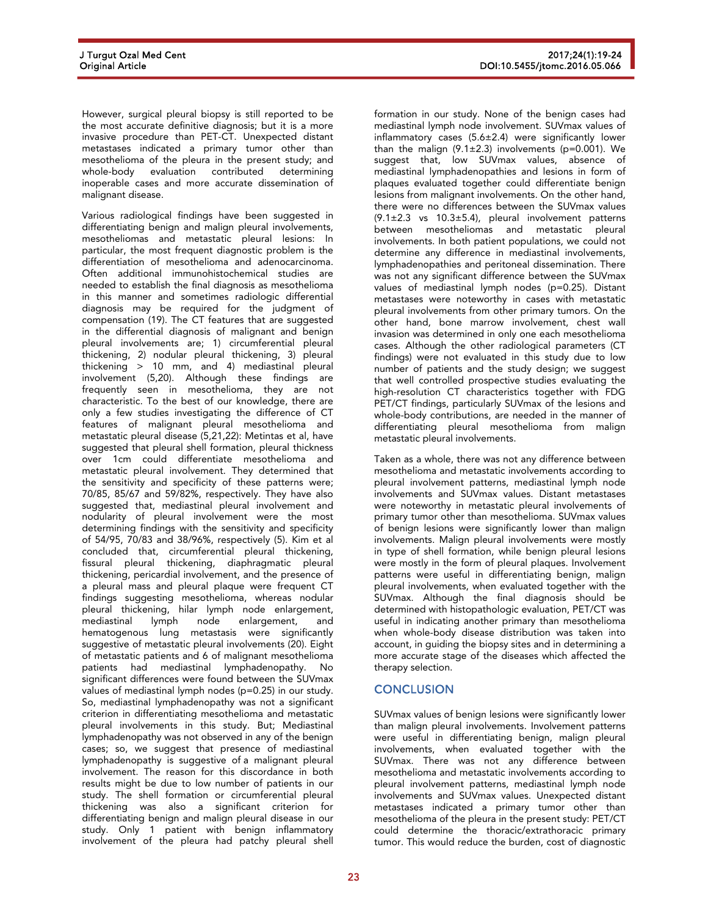However, surgical pleural biopsy is still reported to be the most accurate definitive diagnosis; but it is a more invasive procedure than PET-CT. Unexpected distant metastases indicated a primary tumor other than mesothelioma of the pleura in the present study; and whole-body evaluation contributed determining inoperable cases and more accurate dissemination of malignant disease.

Various radiological findings have been suggested in differentiating benign and malign pleural involvements, mesotheliomas and metastatic pleural lesions: In particular, the most frequent diagnostic problem is the differentiation of mesothelioma and adenocarcinoma. Often additional immunohistochemical studies are needed to establish the final diagnosis as mesothelioma in this manner and sometimes radiologic differential diagnosis may be required for the judgment of compensation (19). The CT features that are suggested in the differential diagnosis of malignant and benign pleural involvements are; 1) circumferential pleural thickening, 2) nodular pleural thickening, 3) pleural thickening > 10 mm, and 4) mediastinal pleural involvement (5,20). Although these findings are frequently seen in mesothelioma, they are not characteristic. To the best of our knowledge, there are only a few studies investigating the difference of CT features of malignant pleural mesothelioma and metastatic pleural disease (5,21,22): Metintas et al, have suggested that pleural shell formation, pleural thickness over 1cm could differentiate mesothelioma and metastatic pleural involvement. They determined that the sensitivity and specificity of these patterns were; 70/85, 85/67 and 59/82%, respectively. They have also suggested that, mediastinal pleural involvement and nodularity of pleural involvement were the most determining findings with the sensitivity and specificity of 54/95, 70/83 and 38/96%, respectively (5). Kim et al concluded that, circumferential pleural thickening, fissural pleural thickening, diaphragmatic pleural thickening, pericardial involvement, and the presence of a pleural mass and pleural plaque were frequent CT findings suggesting mesothelioma, whereas nodular pleural thickening, hilar lymph node enlargement, mediastinal lymph node enlargement, hematogenous lung metastasis were significantly suggestive of metastatic pleural involvements (20). Eight of metastatic patients and 6 of malignant mesothelioma patients had mediastinal lymphadenopathy. No significant differences were found between the SUVmax values of mediastinal lymph nodes (p=0.25) in our study. So, mediastinal lymphadenopathy was not a significant criterion in differentiating mesothelioma and metastatic pleural involvements in this study. But; Mediastinal lymphadenopathy was not observed in any of the benign cases; so, we suggest that presence of mediastinal lymphadenopathy is suggestive of a malignant pleural involvement. The reason for this discordance in both results might be due to low number of patients in our study. The shell formation or circumferential pleural thickening was also a significant criterion for differentiating benign and malign pleural disease in our study. Only 1 patient with benign inflammatory involvement of the pleura had patchy pleural shell

formation in our study. None of the benign cases had mediastinal lymph node involvement. SUVmax values of inflammatory cases (5.6±2.4) were significantly lower than the malign  $(9.1 \pm 2.3)$  involvements (p=0.001). We suggest that, low SUVmax values, absence of mediastinal lymphadenopathies and lesions in form of plaques evaluated together could differentiate benign lesions from malignant involvements. On the other hand, there were no differences between the SUVmax values  $(9.1\pm2.3 \text{ vs } 10.3\pm5.4)$ , pleural involvement patterns between mesotheliomas and metastatic pleural involvements. In both patient populations, we could not determine any difference in mediastinal involvements, lymphadenopathies and peritoneal dissemination. There was not any significant difference between the SUVmax values of mediastinal lymph nodes (p=0.25). Distant metastases were noteworthy in cases with metastatic pleural involvements from other primary tumors. On the other hand, bone marrow involvement, chest wall invasion was determined in only one each mesothelioma cases. Although the other radiological parameters (CT findings) were not evaluated in this study due to low number of patients and the study design; we suggest that well controlled prospective studies evaluating the high-resolution CT characteristics together with FDG PET/CT findings, particularly SUVmax of the lesions and whole-body contributions, are needed in the manner of differentiating pleural mesothelioma from malign metastatic pleural involvements.

Taken as a whole, there was not any difference between mesothelioma and metastatic involvements according to pleural involvement patterns, mediastinal lymph node involvements and SUVmax values. Distant metastases were noteworthy in metastatic pleural involvements of primary tumor other than mesothelioma. SUVmax values of benign lesions were significantly lower than malign involvements. Malign pleural involvements were mostly in type of shell formation, while benign pleural lesions were mostly in the form of pleural plaques. Involvement patterns were useful in differentiating benign, malign pleural involvements, when evaluated together with the SUVmax. Although the final diagnosis should be determined with histopathologic evaluation, PET/CT was useful in indicating another primary than mesothelioma when whole-body disease distribution was taken into account, in guiding the biopsy sites and in determining a more accurate stage of the diseases which affected the therapy selection.

#### **CONCLUSION**

SUV max values of benign lesions were significantly lower than malign pleural involvements. Involvement patterns were useful in differentiating benign, malign pleural involvements, when evaluated together with the SUVmax. There was not any difference between mesothelioma and metastatic involvements according to pleural involvement patterns, mediastinal lymph node involvements and SUVmax values. Unexpected distant metastases indicated a primary tumor other than mesothelioma of the pleura in the present study: PET/CT could determine the thoracic/extrathoracic primary tumor. This would reduce the burden, cost of diagnostic